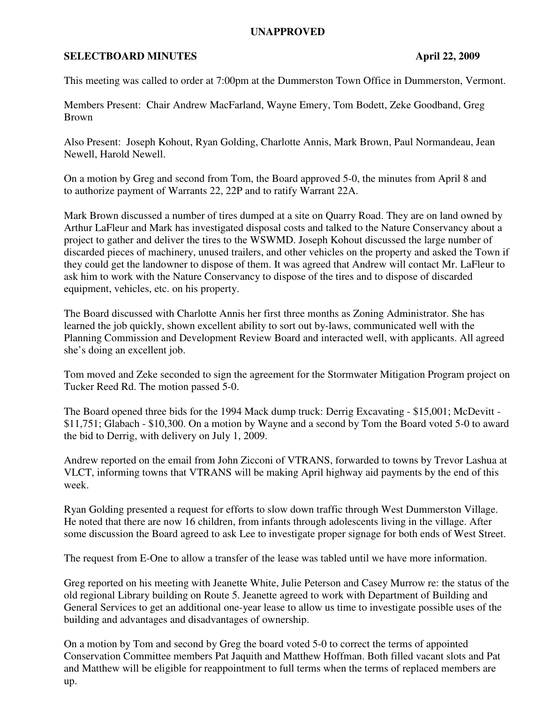## **UNAPPROVED**

## **SELECTBOARD MINUTES** April 22, 2009

This meeting was called to order at 7:00pm at the Dummerston Town Office in Dummerston, Vermont.

Members Present: Chair Andrew MacFarland, Wayne Emery, Tom Bodett, Zeke Goodband, Greg Brown

Also Present: Joseph Kohout, Ryan Golding, Charlotte Annis, Mark Brown, Paul Normandeau, Jean Newell, Harold Newell.

On a motion by Greg and second from Tom, the Board approved 5-0, the minutes from April 8 and to authorize payment of Warrants 22, 22P and to ratify Warrant 22A.

Mark Brown discussed a number of tires dumped at a site on Quarry Road. They are on land owned by Arthur LaFleur and Mark has investigated disposal costs and talked to the Nature Conservancy about a project to gather and deliver the tires to the WSWMD. Joseph Kohout discussed the large number of discarded pieces of machinery, unused trailers, and other vehicles on the property and asked the Town if they could get the landowner to dispose of them. It was agreed that Andrew will contact Mr. LaFleur to ask him to work with the Nature Conservancy to dispose of the tires and to dispose of discarded equipment, vehicles, etc. on his property.

The Board discussed with Charlotte Annis her first three months as Zoning Administrator. She has learned the job quickly, shown excellent ability to sort out by-laws, communicated well with the Planning Commission and Development Review Board and interacted well, with applicants. All agreed she's doing an excellent job.

Tom moved and Zeke seconded to sign the agreement for the Stormwater Mitigation Program project on Tucker Reed Rd. The motion passed 5-0.

The Board opened three bids for the 1994 Mack dump truck: Derrig Excavating - \$15,001; McDevitt - \$11,751; Glabach - \$10,300. On a motion by Wayne and a second by Tom the Board voted 5-0 to award the bid to Derrig, with delivery on July 1, 2009.

Andrew reported on the email from John Zicconi of VTRANS, forwarded to towns by Trevor Lashua at VLCT, informing towns that VTRANS will be making April highway aid payments by the end of this week.

Ryan Golding presented a request for efforts to slow down traffic through West Dummerston Village. He noted that there are now 16 children, from infants through adolescents living in the village. After some discussion the Board agreed to ask Lee to investigate proper signage for both ends of West Street.

The request from E-One to allow a transfer of the lease was tabled until we have more information.

Greg reported on his meeting with Jeanette White, Julie Peterson and Casey Murrow re: the status of the old regional Library building on Route 5. Jeanette agreed to work with Department of Building and General Services to get an additional one-year lease to allow us time to investigate possible uses of the building and advantages and disadvantages of ownership.

On a motion by Tom and second by Greg the board voted 5-0 to correct the terms of appointed Conservation Committee members Pat Jaquith and Matthew Hoffman. Both filled vacant slots and Pat and Matthew will be eligible for reappointment to full terms when the terms of replaced members are up.